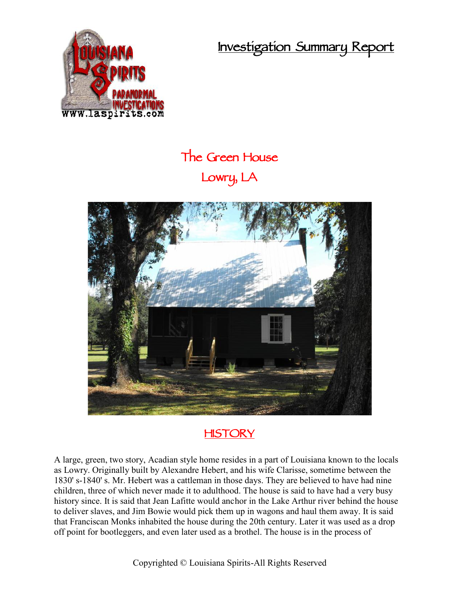**Investigation Summary Report**



## **The Green House Lowry, LA**



## **HISTORY**

A large, green, two story, Acadian style home resides in a part of Louisiana known to the locals as Lowry. Originally built by Alexandre Hebert, and his wife Clarisse, sometime between the 1830' s-1840' s. Mr. Hebert was a cattleman in those days. They are believed to have had nine children, three of which never made it to adulthood. The house is said to have had a very busy history since. It is said that Jean Lafitte would anchor in the Lake Arthur river behind the house to deliver slaves, and Jim Bowie would pick them up in wagons and haul them away. It is said that Franciscan Monks inhabited the house during the 20th century. Later it was used as a drop off point for bootleggers, and even later used as a brothel. The house is in the process of